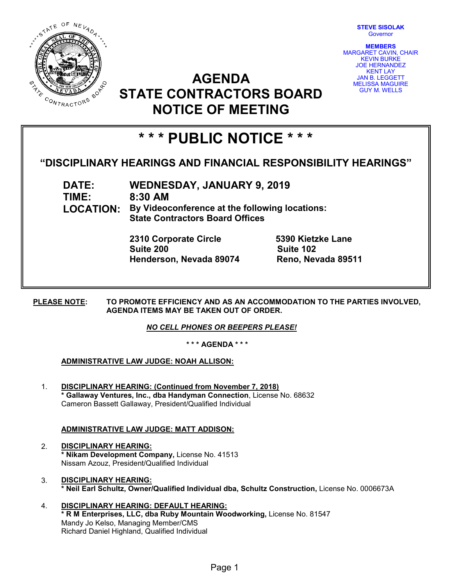

**STEVE SISOLAK** Governor

**MEMBERS** MARGARET CAVIN, CHAIR KEVIN BURKE JOE HERNANDEZ KENT LAY JAN B. LEGGETT MELISSA MAGUIRE GUY M. WELLS

## **AGENDA STATE CONTRACTORS BOARD NOTICE OF MEETING**

# **\* \* \* PUBLIC NOTICE \* \* \***

### **"DISCIPLINARY HEARINGS AND FINANCIAL RESPONSIBILITY HEARINGS"**

**DATE: WEDNESDAY, JANUARY 9, 2019 TIME: 8:30 AM LOCATION: By Videoconference at the following locations: State Contractors Board Offices**

> **2310 Corporate Circle 5390 Kietzke Lane Suite 200 Suite 102 Henderson, Nevada 89074 Reno, Nevada 89511**

**PLEASE NOTE: TO PROMOTE EFFICIENCY AND AS AN ACCOMMODATION TO THE PARTIES INVOLVED, AGENDA ITEMS MAY BE TAKEN OUT OF ORDER.**

*NO CELL PHONES OR BEEPERS PLEASE!* 

**\* \* \* AGENDA \* \* \***

#### **ADMINISTRATIVE LAW JUDGE: NOAH ALLISON:**

1. **DISCIPLINARY HEARING: (Continued from November 7, 2018) \* Gallaway Ventures, Inc., dba Handyman Connection**, License No. 68632 Cameron Bassett Gallaway, President/Qualified Individual

#### **ADMINISTRATIVE LAW JUDGE: MATT ADDISON:**

- 2. **DISCIPLINARY HEARING: \* Nikam Development Company,** License No. 41513 Nissam Azouz, President/Qualified Individual
- 3. **DISCIPLINARY HEARING: \* Neil Earl Schultz, Owner/Qualified Individual dba, Schultz Construction,** License No. 0006673A
- 4. **DISCIPLINARY HEARING: DEFAULT HEARING: \* R M Enterprises, LLC, dba Ruby Mountain Woodworking,** License No. 81547 Mandy Jo Kelso, Managing Member/CMS Richard Daniel Highland, Qualified Individual